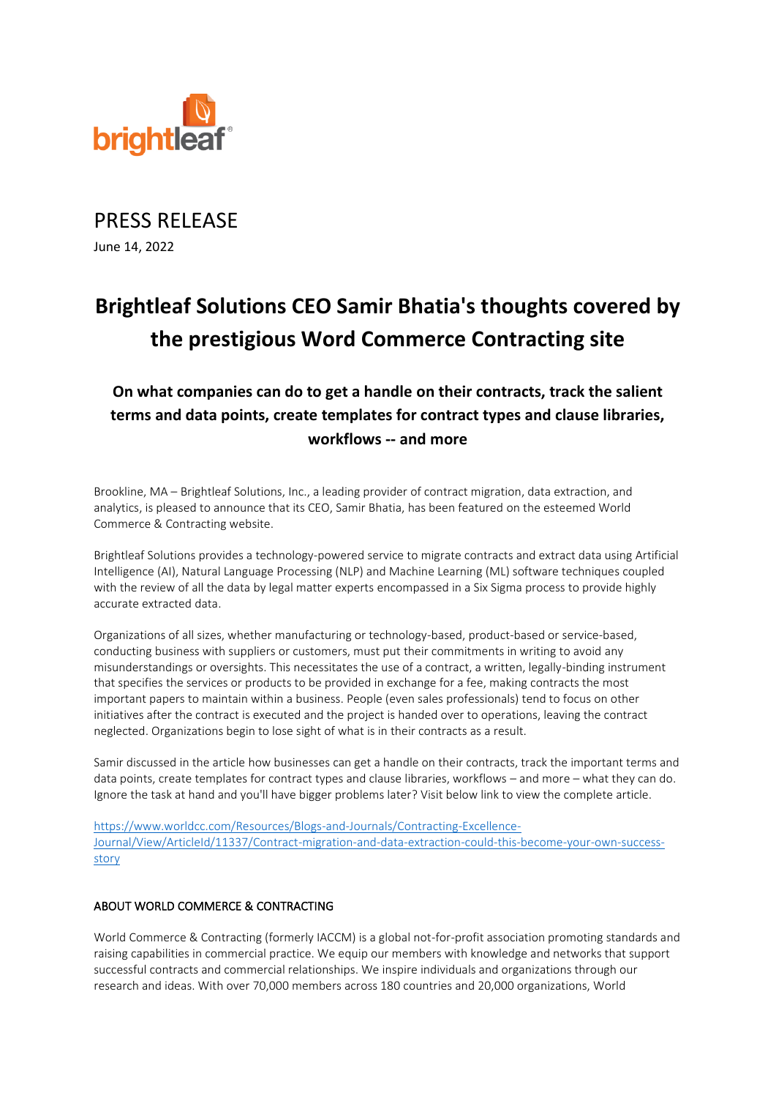

PRESS RELEASE June 14, 2022

# **Brightleaf Solutions CEO Samir Bhatia's thoughts covered by the prestigious Word Commerce Contracting site**

# **On what companies can do to get a handle on their contracts, track the salient terms and data points, create templates for contract types and clause libraries, workflows -- and more**

Brookline, MA – Brightleaf Solutions, Inc., a leading provider of contract migration, data extraction, and analytics, is pleased to announce that its CEO, Samir Bhatia, has been featured on the esteemed World Commerce & Contracting website.

Brightleaf Solutions provides a technology-powered service to migrate contracts and extract data using Artificial Intelligence (AI), Natural Language Processing (NLP) and Machine Learning (ML) software techniques coupled with the review of all the data by legal matter experts encompassed in a Six Sigma process to provide highly accurate extracted data.

Organizations of all sizes, whether manufacturing or technology-based, product-based or service-based, conducting business with suppliers or customers, must put their commitments in writing to avoid any misunderstandings or oversights. This necessitates the use of a contract, a written, legally-binding instrument that specifies the services or products to be provided in exchange for a fee, making contracts the most important papers to maintain within a business. People (even sales professionals) tend to focus on other initiatives after the contract is executed and the project is handed over to operations, leaving the contract neglected. Organizations begin to lose sight of what is in their contracts as a result.

Samir discussed in the article how businesses can get a handle on their contracts, track the important terms and data points, create templates for contract types and clause libraries, workflows – and more – what they can do. Ignore the task at hand and you'll have bigger problems later? Visit below link to view the complete article.

[https://www.worldcc.com/Resources/Blogs-and-Journals/Contracting-Excellence-](https://www.worldcc.com/Resources/Blogs-and-Journals/Contracting-Excellence-Journal/View/ArticleId/11337/Contract-migration-and-data-extraction-could-this-become-your-own-success-story)[Journal/View/ArticleId/11337/Contract-migration-and-data-extraction-could-this-become-your-own-success](https://www.worldcc.com/Resources/Blogs-and-Journals/Contracting-Excellence-Journal/View/ArticleId/11337/Contract-migration-and-data-extraction-could-this-become-your-own-success-story)[story](https://www.worldcc.com/Resources/Blogs-and-Journals/Contracting-Excellence-Journal/View/ArticleId/11337/Contract-migration-and-data-extraction-could-this-become-your-own-success-story)

## ABOUT WORLD COMMERCE & CONTRACTING

World Commerce & Contracting (formerly IACCM) is a global not-for-profit association promoting standards and raising capabilities in commercial practice. We equip our members with knowledge and networks that support successful contracts and commercial relationships. We inspire individuals and organizations through our research and ideas. With over 70,000 members across 180 countries and 20,000 organizations, World